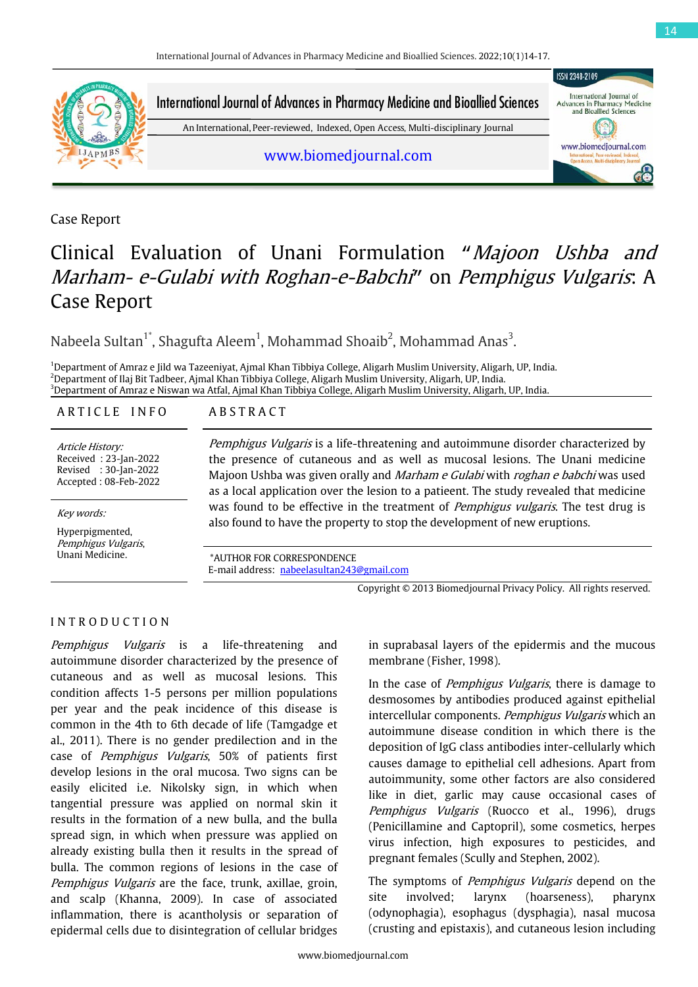

International Journal of<br>Advances in Pharmacy Medicine International Journal of Advances in Pharmacy Medicine and Bioallied Sciences

An International, Peer-reviewed, Indexed, Open Access, Multi-disciplinary Journal

www.biomedjournal.com

Case Report

# Clinical Evaluation of Unani Formulation "Majoon Ushba and Marham- e-Gulabi with Roghan-e-Babchi" on Pemphigus Vulgaris: A Case Report

Nabeela Sultan $^1$ ', Shagufta Aleem $^1$ , Mohammad Shoaib $^2$ , Mohammad Anas $^3$ .

1 Department of Amraz e Jild wa Tazeeniyat, Ajmal Khan Tibbiya College, Aligarh Muslim University, Aligarh, UP, India. 2 Department of Ilaj Bit Tadbeer, Ajmal Khan Tibbiya College, Aligarh Muslim University, Aligarh, UP, India. 3 Department of Amraz e Niswan wa Atfal, Ajmal Khan Tibbiya College, Aligarh Muslim University, Aligarh, UP, India.

#### ARTICLE INFO ABSTRACT

Article History: Received : 23-Jan-2022 Revised : 30-Jan-2022 Accepted : 08-Feb-2022

Hyperpigmented, Pemphigus Vulgaris,

Pemphigus Vulgaris is a life-threatening and autoimmune disorder characterized by the presence of cutaneous and as well as mucosal lesions. The Unani medicine Majoon Ushba was given orally and Marham e Gulabi with roghan e babchi was used as a local application over the lesion to a patieent. The study revealed that medicine was found to be effective in the treatment of *Pemphigus vulgaris*. The test drug is also found to be encenve in the treatment of *rempingus vurgaris*. The was found to be encenve in the treatment of *rempingus vurgaris*. The w

Unani Medicine. \*AUTHOR FOR CORRESPONDENCE E-mail address: [nabeelasultan243@gmail.com](mailto:nabeelasultan243@gmail.com)

Copyright © 2013 Biomedjournal Privacy Policy. All rights reserved.

### I N T R O D U C T I O N

Pemphigus Vulgaris is a life-threatening and autoimmune disorder characterized by the presence of cutaneous and as well as mucosal lesions. This condition affects 1-5 persons per million populations per year and the peak incidence of this disease is common in the 4th to 6th decade of life (Tamgadge et al., 2011). There is no gender predilection and in the case of Pemphigus Vulgaris, 50% of patients first develop lesions in the oral mucosa. Two signs can be easily elicited i.e. Nikolsky sign, in which when tangential pressure was applied on normal skin it results in the formation of a new bulla, and the bulla spread sign, in which when pressure was applied on already existing bulla then it results in the spread of bulla. The common regions of lesions in the case of Pemphigus Vulgaris are the face, trunk, axillae, groin, and scalp (Khanna, 2009). In case of associated inflammation, there is acantholysis or separation of epidermal cells due to disintegration of cellular bridges

in suprabasal layers of the epidermis and the mucous membrane (Fisher, 1998).

In the case of *Pemphigus Vulgaris*, there is damage to desmosomes by antibodies produced against epithelial intercellular components. Pemphigus Vulgaris which an autoimmune disease condition in which there is the deposition of IgG class antibodies inter-cellularly which causes damage to epithelial cell adhesions. Apart from autoimmunity, some other factors are also considered like in diet, garlic may cause occasional cases of Pemphigus Vulgaris (Ruocco et al., 1996), drugs (Penicillamine and Captopril), some cosmetics, herpes virus infection, high exposures to pesticides, and pregnant females (Scully and Stephen, 2002).

The symptoms of *Pemphigus Vulgaris* depend on the site involved; larynx (hoarseness), pharynx (odynophagia), esophagus (dysphagia), nasal mucosa (crusting and epistaxis), and cutaneous lesion including

**ISSN 2348-2109** 

and Bioallied Sciences

www.biomedjournal.com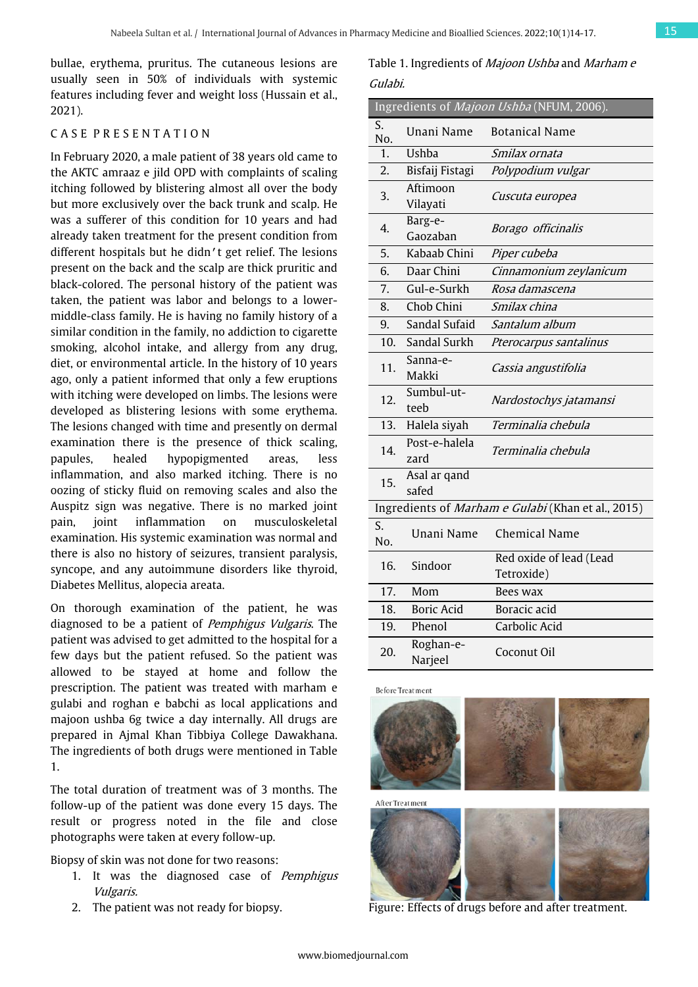bullae, erythema, pruritus. The cutaneous lesions are usually seen in 50% of individuals with systemic features including fever and weight loss (Hussain et al., 2021).

#### C A S E P R E S E N T A T I O N

In February 2020, a male patient of 38 years old came to the AKTC amraaz e jild OPD with complaints of scaling itching followed by blistering almost all over the body but more exclusively over the back trunk and scalp. He was a sufferer of this condition for 10 years and had already taken treatment for the present condition from different hospitals but he didn't get relief. The lesions present on the back and the scalp are thick pruritic and black-colored. The personal history of the patient was taken, the patient was labor and belongs to a lowermiddle-class family. He is having no family history of a similar condition in the family, no addiction to cigarette smoking, alcohol intake, and allergy from any drug, diet, or environmental article. In the history of 10 years ago, only a patient informed that only a few eruptions with itching were developed on limbs. The lesions were developed as blistering lesions with some erythema. The lesions changed with time and presently on dermal examination there is the presence of thick scaling, papules, healed hypopigmented areas, less inflammation, and also marked itching. There is no oozing of sticky fluid on removing scales and also the Auspitz sign was negative. There is no marked joint pain, joint inflammation on musculoskeletal examination. His systemic examination was normal and there is also no history of seizures, transient paralysis, syncope, and any autoimmune disorders like thyroid, Diabetes Mellitus, alopecia areata.

On thorough examination of the patient, he was diagnosed to be a patient of Pemphigus Vulgaris. The patient was advised to get admitted to the hospital for a few days but the patient refused. So the patient was allowed to be stayed at home and follow the prescription. The patient was treated with marham e gulabi and roghan e babchi as local applications and majoon ushba 6g twice a day internally. All drugs are prepared in Ajmal Khan Tibbiya College Dawakhana. The ingredients of both drugs were mentioned in Table 1.

The total duration of treatment was of 3 months. The follow-up of the patient was done every 15 days. The result or progress noted in the file and close photographs were taken at every follow-up.

Biopsy of skin was not done for two reasons:

- 1. It was the diagnosed case of Pemphigus Vulgaris.
- 2. The patient was not ready for biopsy.

Table 1. Ingredients of Majoon Ushba and Marham e Gulabi.

|                                                    |                       | Ingredients of Majoon Ushba (NFUM, 2006). |  |  |  |  |
|----------------------------------------------------|-----------------------|-------------------------------------------|--|--|--|--|
| S.<br>No.                                          | Unani Name            | Botanical Name                            |  |  |  |  |
| 1.                                                 | <b>Ushba</b>          | Smilax ornata                             |  |  |  |  |
| 2.                                                 | Bisfaij Fistagi       | Polypodium vulgar                         |  |  |  |  |
| 3.                                                 | Aftimoon<br>Vilayati  | Cuscuta europea                           |  |  |  |  |
| 4.                                                 | Barg-e-<br>Gaozaban   | Borago officinalis                        |  |  |  |  |
| 5.                                                 | Kabaab Chini          | Piper cubeba                              |  |  |  |  |
| 6.                                                 | Daar Chini            | Cinnamonium zeylanicum                    |  |  |  |  |
| 7.                                                 | Gul-e-Surkh           | Rosa damascena                            |  |  |  |  |
| 8.                                                 | Chob Chini            | Smilax china                              |  |  |  |  |
| 9.                                                 | Sandal Sufaid         | Santalum album                            |  |  |  |  |
| 10.                                                | Sandal Surkh          | Pterocarpus santalinus                    |  |  |  |  |
| 11.                                                | Sanna-e-<br>Makki     | Cassia angustifolia                       |  |  |  |  |
| 12.                                                | Sumbul-ut-<br>teeb    | Nardostochys jatamansi                    |  |  |  |  |
| 13.                                                | Halela siyah          | Terminalia chebula                        |  |  |  |  |
| 14.                                                | Post-e-halela<br>zard | Terminalia chebula                        |  |  |  |  |
| 15.                                                | Asal ar qand<br>safed |                                           |  |  |  |  |
| Ingredients of Marham e Gulabi (Khan et al., 2015) |                       |                                           |  |  |  |  |
| S.<br>No.                                          | Unani Name            | <b>Chemical Name</b>                      |  |  |  |  |
| 16.                                                | Sindoor               | Red oxide of lead (Lead<br>Tetroxide)     |  |  |  |  |
| 17.                                                | Mom                   | Bees wax                                  |  |  |  |  |
| 18.                                                | <b>Boric Acid</b>     | Boracic acid                              |  |  |  |  |
| 19.                                                | Phenol                | Carbolic Acid                             |  |  |  |  |
| 20.                                                | Roghan-e-<br>Narjeel  | Coconut Oil                               |  |  |  |  |





Figure: Effects of drugs before and after treatment.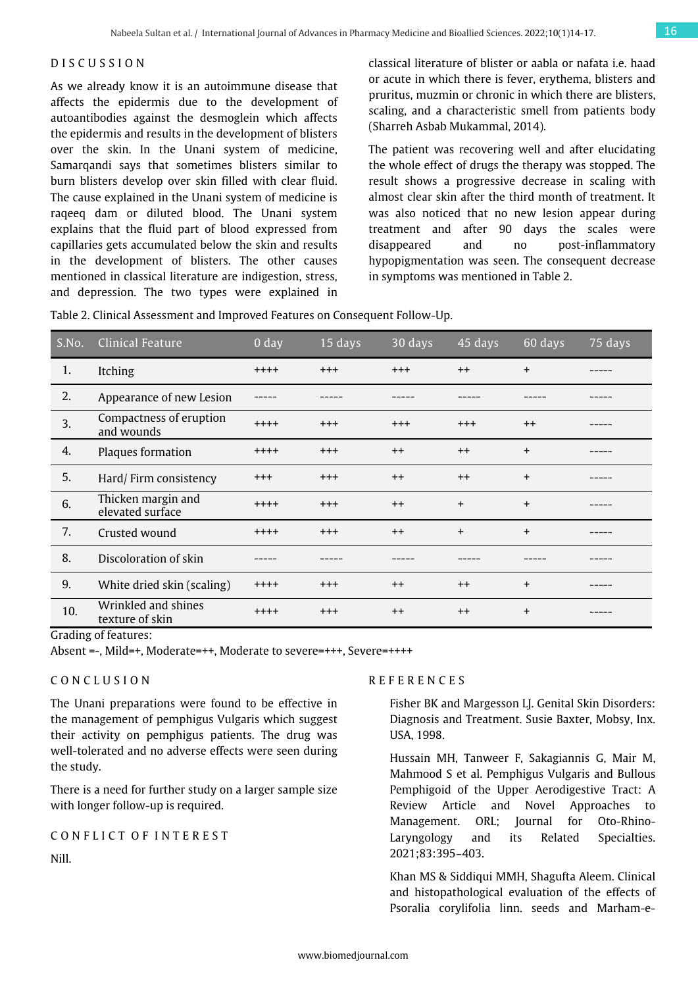## D I S C U S S I O N

As we already know it is an autoimmune disease that affects the epidermis due to the development of autoantibodies against the desmoglein which affects the epidermis and results in the development of blisters over the skin. In the Unani system of medicine, Samarqandi says that sometimes blisters similar to burn blisters develop over skin filled with clear fluid. The cause explained in the Unani system of medicine is raqeeq dam or diluted blood. The Unani system explains that the fluid part of blood expressed from capillaries gets accumulated below the skin and results in the development of blisters. The other causes mentioned in classical literature are indigestion, stress, and depression. The two types were explained in classical literature of blister or aabla or nafata i.e. haad or acute in which there is fever, erythema, blisters and pruritus, muzmin or chronic in which there are blisters, scaling, and a characteristic smell from patients body (Sharreh Asbab Mukammal, 2014).

The patient was recovering well and after elucidating the whole effect of drugs the therapy was stopped. The result shows a progressive decrease in scaling with almost clear skin after the third month of treatment. It was also noticed that no new lesion appear during treatment and after 90 days the scales were disappeared and no post-inflammatory hypopigmentation was seen. The consequent decrease in symptoms was mentioned in Table 2.

Table 2. Clinical Assessment and Improved Features on Consequent Follow-Up.

| S.No. | <b>Clinical Feature</b>                | 0 <sub>day</sub> | 15 days | 30 days  | 45 days  | 60 days | 75 days |
|-------|----------------------------------------|------------------|---------|----------|----------|---------|---------|
| 1.    | Itching                                | $+++++$          | $+++$   | $^{+++}$ | $++$     | $+$     |         |
| 2.    | Appearance of new Lesion               |                  |         |          |          |         |         |
| 3.    | Compactness of eruption<br>and wounds  | $++++$           | $+++$   | $^{+++}$ | $^{+++}$ | $++$    |         |
| 4.    | Plaques formation                      | $++++$           | $+++$   | $++$     | $^{++}$  | $+$     |         |
| 5.    | Hard/Firm consistency                  | $^{+++}$         | $+++$   | $^{++}$  | $^{++}$  | $+$     |         |
| 6.    | Thicken margin and<br>elevated surface | $++++$           | $+++$   | $^{++}$  | $+$      | $+$     |         |
| 7.    | Crusted wound                          | $++++$           | $+++$   | $++$     | $+$      | $+$     |         |
| 8.    | Discoloration of skin                  |                  |         |          |          |         |         |
| 9.    | White dried skin (scaling)             | $++++$           | $+++$   | $++$     | $++$     | $+$     |         |
| 10.   | Wrinkled and shines<br>texture of skin | $++++$           | $+++$   | $++$     | $^{++}$  | $+$     |         |

Grading of features:

Absent =-, Mild=+, Moderate=++, Moderate to severe=+++, Severe=++++

#### C O N C L U S I O N

The Unani preparations were found to be effective in the management of pemphigus Vulgaris which suggest their activity on pemphigus patients. The drug was well-tolerated and no adverse effects were seen during the study.

There is a need for further study on a larger sample size with longer follow-up is required.

#### CONFLICT OF INTEREST

Nill.

#### R E F E R E N C E S

Fisher BK and Margesson LJ. Genital Skin Disorders: Diagnosis and Treatment. Susie Baxter, Mobsy, Inx. USA, 1998.

Hussain MH, Tanweer F, Sakagiannis G, Mair M, Mahmood S et al. Pemphigus Vulgaris and Bullous Pemphigoid of the Upper Aerodigestive Tract: A Review Article and Novel Approaches to Management. ORL; Journal for Oto-Rhino-Laryngology and its Related Specialties. 2021;83:395–403.

Khan MS & Siddiqui MMH, Shagufta Aleem. Clinical and histopathological evaluation of the effects of Psoralia corylifolia linn. seeds and Marham-e